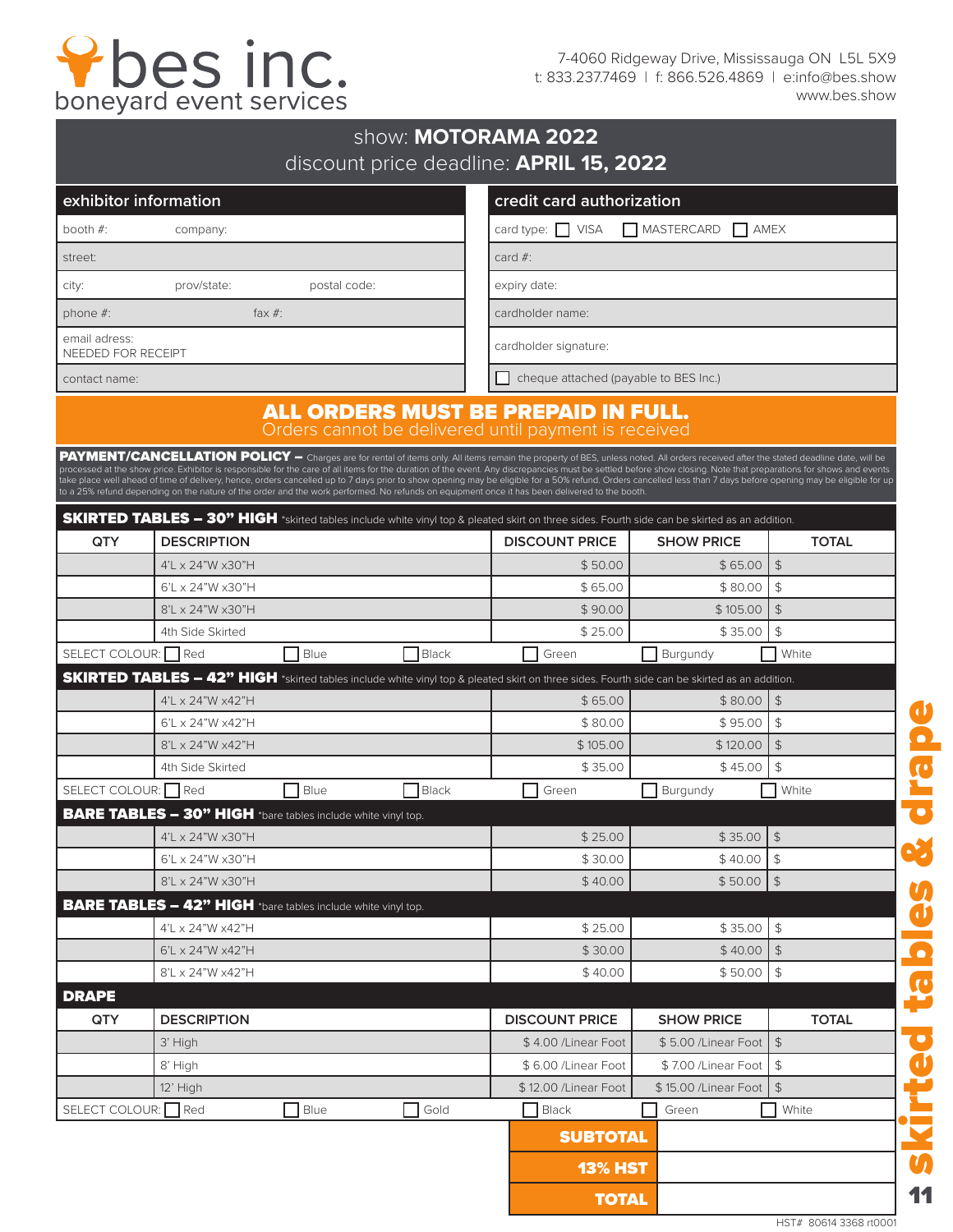## Pbes inc.

7-4060 Ridgeway Drive, Mississauga ON L5L 5X9 t: 833.237.7469 | f: 866.526.4869 | e:info@bes.show www.bes.show

|                                     |                                                                     |              | show: MOTORAMA 2022 | discount price deadline: APRIL 15, 2022                                                                                                                                                                                                                                                                                                                                                                                                                                                                                                                                               |                           |                                    |
|-------------------------------------|---------------------------------------------------------------------|--------------|---------------------|---------------------------------------------------------------------------------------------------------------------------------------------------------------------------------------------------------------------------------------------------------------------------------------------------------------------------------------------------------------------------------------------------------------------------------------------------------------------------------------------------------------------------------------------------------------------------------------|---------------------------|------------------------------------|
| exhibitor information               |                                                                     |              |                     | credit card authorization                                                                                                                                                                                                                                                                                                                                                                                                                                                                                                                                                             |                           |                                    |
| booth $#$ :                         | company:                                                            |              |                     | card type: $\Box$ VISA<br>MASTERCARD<br>AMEX                                                                                                                                                                                                                                                                                                                                                                                                                                                                                                                                          |                           |                                    |
| street:                             |                                                                     |              |                     | card $#$ :                                                                                                                                                                                                                                                                                                                                                                                                                                                                                                                                                                            |                           |                                    |
| city:                               | prov/state:                                                         | postal code: |                     | expiry date:                                                                                                                                                                                                                                                                                                                                                                                                                                                                                                                                                                          |                           |                                    |
| phone $#$ :                         | fax $#$ :                                                           |              |                     | cardholder name:                                                                                                                                                                                                                                                                                                                                                                                                                                                                                                                                                                      |                           |                                    |
| email adress:<br>NEEDED FOR RECEIPT |                                                                     |              |                     | cardholder signature:                                                                                                                                                                                                                                                                                                                                                                                                                                                                                                                                                                 |                           |                                    |
| contact name:                       |                                                                     |              |                     | cheque attached (payable to BES Inc.)                                                                                                                                                                                                                                                                                                                                                                                                                                                                                                                                                 |                           |                                    |
|                                     |                                                                     |              |                     | ALL ORDERS MUST BE PREPAID IN FULL.<br>Orders cannot be delivered until payment is received<br>PAYMENT/CANCELLATION POLICY - Charges are for rental of items only. All items remain the property of BES, unless noted. All orders received after the stated deadline date, will be                                                                                                                                                                                                                                                                                                    |                           |                                    |
|                                     |                                                                     |              |                     | processed at the show price. Exhibitor is responsible for the care of all items for the duration of the event. Any discrepancies must be settled before show closing. Note that preparations for shows and events<br>take place well ahead of time of delivery, hence, orders cancelled up to 7 days prior to show opening may be eligible for a 50% refund. Orders cancelled less than 7 days before opening may be eligible for up<br>to a 25% refund depending on the nature of the order and the work performed. No refunds on equipment once it has been delivered to the booth. |                           |                                    |
|                                     |                                                                     |              |                     | SKIRTED TABLES - 30" HIGH *skirted tables include white vinyl top & pleated skirt on three sides. Fourth side can be skirted as an addition.<br><b>DISCOUNT PRICE</b>                                                                                                                                                                                                                                                                                                                                                                                                                 | <b>SHOW PRICE</b>         |                                    |
| QTY                                 | <b>DESCRIPTION</b><br>$4'$ L $\times$ 24"W $\times$ 30"H            |              |                     | \$50.00                                                                                                                                                                                                                                                                                                                                                                                                                                                                                                                                                                               | \$65.00                   | <b>TOTAL</b><br>$\sqrt{2}$         |
|                                     | $6'$ L x 24"W x30"H                                                 |              |                     | \$65.00                                                                                                                                                                                                                                                                                                                                                                                                                                                                                                                                                                               | \$80.00                   | \$                                 |
|                                     | 8'L x 24"W x30"H                                                    |              |                     | \$90.00                                                                                                                                                                                                                                                                                                                                                                                                                                                                                                                                                                               | \$105.00                  | $\sqrt{2}$                         |
|                                     | 4th Side Skirted                                                    |              |                     | \$25.00                                                                                                                                                                                                                                                                                                                                                                                                                                                                                                                                                                               | \$35.00                   | $\mathfrak{S}$                     |
| SELECT COLOUR: Red                  |                                                                     | Blue         | <b>Black</b>        | Green                                                                                                                                                                                                                                                                                                                                                                                                                                                                                                                                                                                 | Burgundy                  | White                              |
|                                     |                                                                     |              |                     | <b>SKIRTED TABLES - 42" HIGH</b> *skirted tables include white vinyl top & pleated skirt on three sides. Fourth side can be skirted as an addition.                                                                                                                                                                                                                                                                                                                                                                                                                                   |                           |                                    |
|                                     | 4'L x 24"W x42"H                                                    |              |                     | \$65.00                                                                                                                                                                                                                                                                                                                                                                                                                                                                                                                                                                               | \$80.00                   | $\sqrt{2}$                         |
|                                     | $6'$ L x 24"W x42"H                                                 |              |                     | \$80.00                                                                                                                                                                                                                                                                                                                                                                                                                                                                                                                                                                               | \$95.00                   | $\mathfrak{S}$                     |
|                                     | 8'L x 24"W x42"H                                                    |              |                     | \$105.00                                                                                                                                                                                                                                                                                                                                                                                                                                                                                                                                                                              | \$120.00                  | $\mathfrak{S}$                     |
|                                     | 4th Side Skirted                                                    |              |                     | \$35.00                                                                                                                                                                                                                                                                                                                                                                                                                                                                                                                                                                               | \$45.00                   | \$                                 |
| SELECT COLOUR:                      | Red                                                                 | Blue         | <b>Black</b>        | Green                                                                                                                                                                                                                                                                                                                                                                                                                                                                                                                                                                                 | Burgundy                  | White                              |
|                                     | BARE TABLES - 30" HIGH *bare tables include white vinyl top.        |              |                     |                                                                                                                                                                                                                                                                                                                                                                                                                                                                                                                                                                                       |                           |                                    |
|                                     | 4'L x 24"W x30"H                                                    |              |                     | \$25.00                                                                                                                                                                                                                                                                                                                                                                                                                                                                                                                                                                               | \$35.00                   | $\frac{4}{5}$                      |
|                                     | 6'L x 24"W x30"H<br>8'L x 24"W x30"H                                |              |                     | \$30.00<br>\$40.00                                                                                                                                                                                                                                                                                                                                                                                                                                                                                                                                                                    | \$40.00<br>\$50.00        | $\updownarrow$<br>$\vert \uparrow$ |
|                                     | <b>BARE TABLES - 42" HIGH</b> *bare tables include white vinyl top. |              |                     |                                                                                                                                                                                                                                                                                                                                                                                                                                                                                                                                                                                       |                           |                                    |
|                                     | 4'L x 24"W x42"H                                                    |              |                     | \$25.00                                                                                                                                                                                                                                                                                                                                                                                                                                                                                                                                                                               | \$35.00                   | $\frac{4}{5}$                      |
|                                     | 6'L x 24"W x42"H                                                    |              |                     | \$30.00                                                                                                                                                                                                                                                                                                                                                                                                                                                                                                                                                                               | \$40.00                   | $\sqrt{2}$                         |
|                                     | 8'L x 24"W x42"H                                                    |              |                     | \$40.00                                                                                                                                                                                                                                                                                                                                                                                                                                                                                                                                                                               | \$50.00                   | $\frac{4}{5}$                      |
| <b>DRAPE</b>                        |                                                                     |              |                     |                                                                                                                                                                                                                                                                                                                                                                                                                                                                                                                                                                                       |                           |                                    |
| QTY                                 | <b>DESCRIPTION</b>                                                  |              |                     | <b>DISCOUNT PRICE</b>                                                                                                                                                                                                                                                                                                                                                                                                                                                                                                                                                                 | <b>SHOW PRICE</b>         | <b>TOTAL</b>                       |
|                                     | 3' High                                                             |              |                     | \$4.00 / Linear Foot                                                                                                                                                                                                                                                                                                                                                                                                                                                                                                                                                                  | \$5.00 / Linear Foot   \$ |                                    |
|                                     | 8' High                                                             |              |                     | \$6.00 / Linear Foot                                                                                                                                                                                                                                                                                                                                                                                                                                                                                                                                                                  | \$7.00 / Linear Foot      | $$\mathfrak{P}$$                   |
|                                     | 12' High                                                            |              |                     | \$12.00 / Linear Foot                                                                                                                                                                                                                                                                                                                                                                                                                                                                                                                                                                 | \$15.00 / Linear Foot     | $$\mathfrak{F}$$                   |
| SELECT COLOUR: Red                  |                                                                     | Blue         | Gold                | Black                                                                                                                                                                                                                                                                                                                                                                                                                                                                                                                                                                                 | Green                     | White                              |
|                                     |                                                                     |              |                     | <b>SUBTOTAL</b>                                                                                                                                                                                                                                                                                                                                                                                                                                                                                                                                                                       |                           |                                    |
|                                     |                                                                     |              |                     | <b>13% HST</b>                                                                                                                                                                                                                                                                                                                                                                                                                                                                                                                                                                        |                           |                                    |
|                                     |                                                                     |              |                     | <b>TOTAL</b>                                                                                                                                                                                                                                                                                                                                                                                                                                                                                                                                                                          |                           |                                    |

HST# 80614 3368 rt0001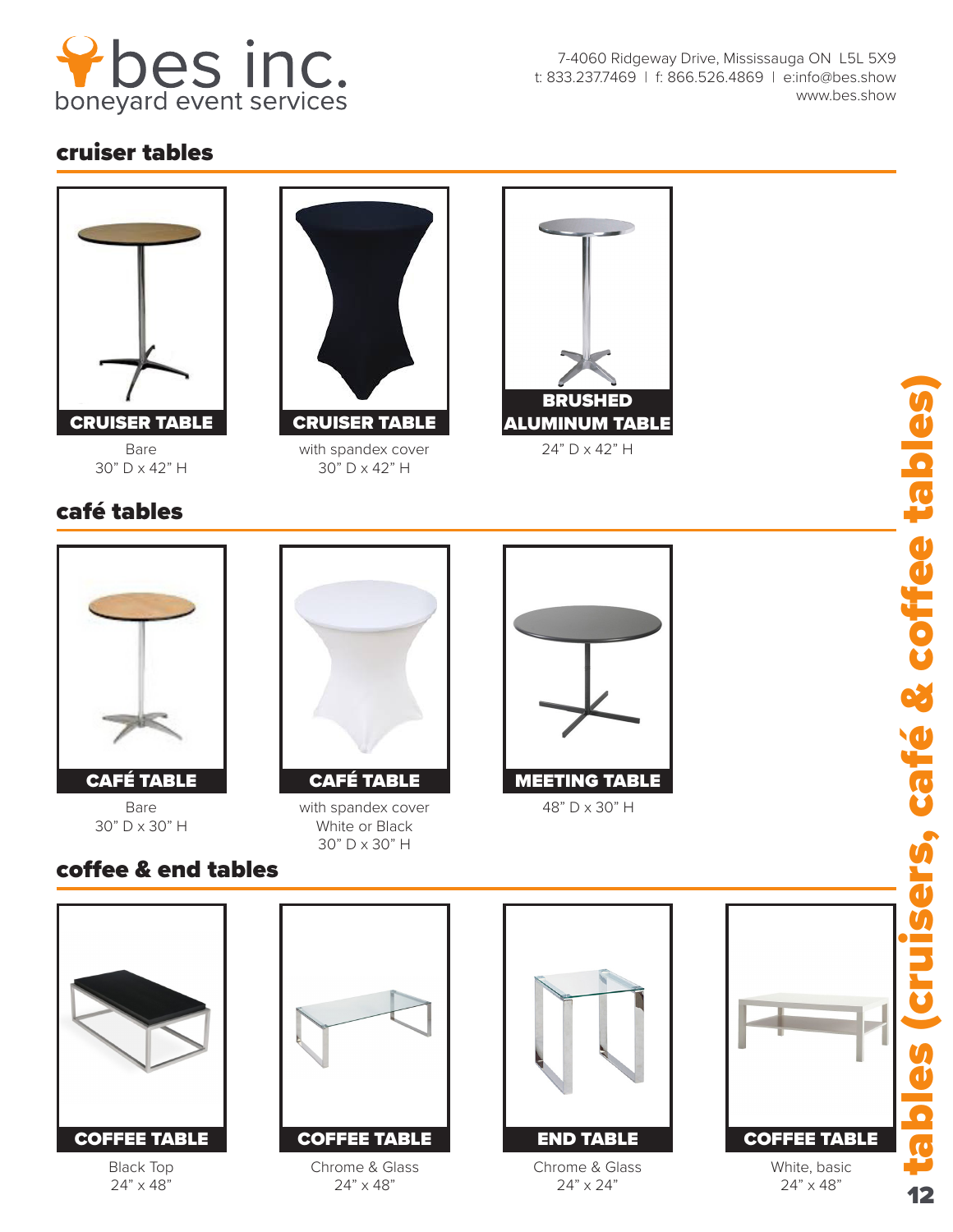

7-4060 Ridgeway Drive, Mississauga ON L5L 5X9 t: 833.237.7469 | f: 866.526.4869 | e:info@bes.show www.bes.show

## cruiser tables



Bare 30" D x 42" H

## café tables



with spandex cover 30" D x 42" H



24" D x 42" H



Bare 30" D x 30" H

coffee & end tables



with spandex cover White or Black 30" D x 30" H





Black Top 24" x 48"



Chrome & Glass 24" x 48"



Chrome & Glass 24" x 24"



24" x 48"